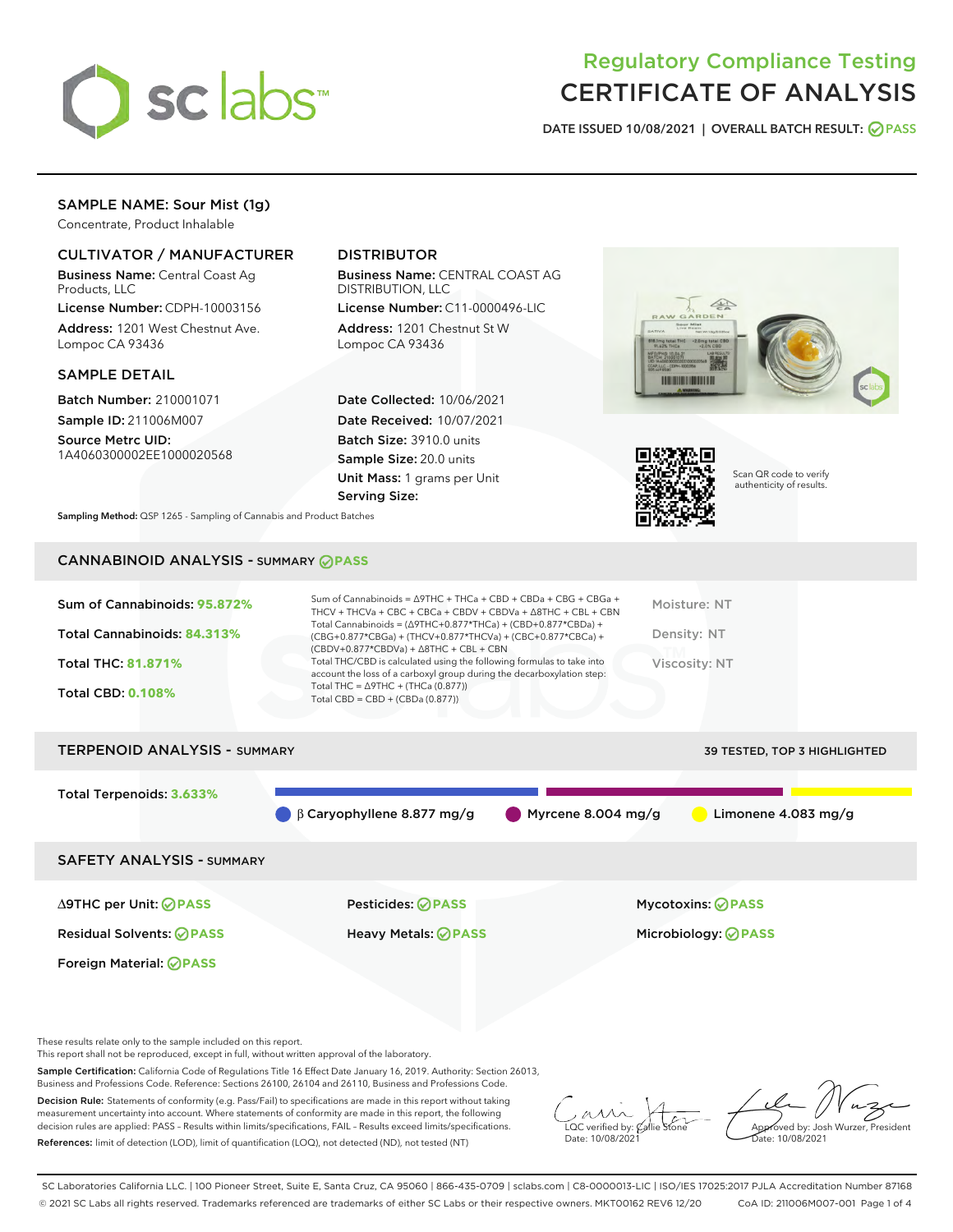

# Regulatory Compliance Testing CERTIFICATE OF ANALYSIS

DATE ISSUED 10/08/2021 | OVERALL BATCH RESULT: @ PASS

# SAMPLE NAME: Sour Mist (1g)

Concentrate, Product Inhalable

# CULTIVATOR / MANUFACTURER

Business Name: Central Coast Ag Products, LLC

License Number: CDPH-10003156 Address: 1201 West Chestnut Ave. Lompoc CA 93436

## SAMPLE DETAIL

Batch Number: 210001071 Sample ID: 211006M007

Source Metrc UID: 1A4060300002EE1000020568

# DISTRIBUTOR

Business Name: CENTRAL COAST AG DISTRIBUTION, LLC

License Number: C11-0000496-LIC Address: 1201 Chestnut St W Lompoc CA 93436

Date Collected: 10/06/2021 Date Received: 10/07/2021 Batch Size: 3910.0 units Sample Size: 20.0 units Unit Mass: 1 grams per Unit Serving Size:





Scan QR code to verify authenticity of results.

Sampling Method: QSP 1265 - Sampling of Cannabis and Product Batches

# CANNABINOID ANALYSIS - SUMMARY **PASS**

| Total Cannabinoids = $(\Delta$ 9THC+0.877*THCa) + (CBD+0.877*CBDa) +<br>Total Cannabinoids: 84.313%<br>Density: NT<br>(CBG+0.877*CBGa) + (THCV+0.877*THCVa) + (CBC+0.877*CBCa) +<br>$(CBDV+0.877*CBDVa) + \Delta 8THC + CBL + CBN$<br>Total THC/CBD is calculated using the following formulas to take into<br><b>Total THC: 81.871%</b><br>Viscosity: NT<br>account the loss of a carboxyl group during the decarboxylation step:<br>Total THC = $\triangle$ 9THC + (THCa (0.877))<br><b>Total CBD: 0.108%</b><br>Total CBD = $CBD + (CBDa (0.877))$ | Sum of Cannabinoids: 95.872% | Sum of Cannabinoids = $\triangle$ 9THC + THCa + CBD + CBDa + CBG + CBGa +<br>THCV + THCVa + CBC + CBCa + CBDV + CBDVa + $\Delta$ 8THC + CBL + CBN | Moisture: NT |
|-------------------------------------------------------------------------------------------------------------------------------------------------------------------------------------------------------------------------------------------------------------------------------------------------------------------------------------------------------------------------------------------------------------------------------------------------------------------------------------------------------------------------------------------------------|------------------------------|---------------------------------------------------------------------------------------------------------------------------------------------------|--------------|
|                                                                                                                                                                                                                                                                                                                                                                                                                                                                                                                                                       |                              |                                                                                                                                                   |              |
|                                                                                                                                                                                                                                                                                                                                                                                                                                                                                                                                                       |                              |                                                                                                                                                   |              |
|                                                                                                                                                                                                                                                                                                                                                                                                                                                                                                                                                       |                              |                                                                                                                                                   |              |

| TERPENOID ANALYSIS - SUMMARY     |                                  |                               | 39 TESTED, TOP 3 HIGHLIGHTED |
|----------------------------------|----------------------------------|-------------------------------|------------------------------|
| Total Terpenoids: 3.633%         |                                  |                               |                              |
|                                  | $\beta$ Caryophyllene 8.877 mg/g | $\bigcirc$ Myrcene 8.004 mg/g | Limonene $4.083$ mg/g        |
| <b>SAFETY ANALYSIS - SUMMARY</b> |                                  |                               |                              |
|                                  |                                  |                               |                              |

Foreign Material: **PASS**

∆9THC per Unit: **PASS** Pesticides: **PASS** Mycotoxins: **PASS**

Residual Solvents: **PASS** Heavy Metals: **PASS** Microbiology: **PASS**

These results relate only to the sample included on this report.

This report shall not be reproduced, except in full, without written approval of the laboratory.

Sample Certification: California Code of Regulations Title 16 Effect Date January 16, 2019. Authority: Section 26013, Business and Professions Code. Reference: Sections 26100, 26104 and 26110, Business and Professions Code.

Decision Rule: Statements of conformity (e.g. Pass/Fail) to specifications are made in this report without taking measurement uncertainty into account. Where statements of conformity are made in this report, the following decision rules are applied: PASS – Results within limits/specifications, FAIL – Results exceed limits/specifications. References: limit of detection (LOD), limit of quantification (LOQ), not detected (ND), not tested (NT)

 $\overline{\text{LOC}}$  verified by:  $\mathcal{C}_i$ Date: 10/08/2021

Approved by: Josh Wurzer, President ate: 10/08/2021

SC Laboratories California LLC. | 100 Pioneer Street, Suite E, Santa Cruz, CA 95060 | 866-435-0709 | sclabs.com | C8-0000013-LIC | ISO/IES 17025:2017 PJLA Accreditation Number 87168 © 2021 SC Labs all rights reserved. Trademarks referenced are trademarks of either SC Labs or their respective owners. MKT00162 REV6 12/20 CoA ID: 211006M007-001 Page 1 of 4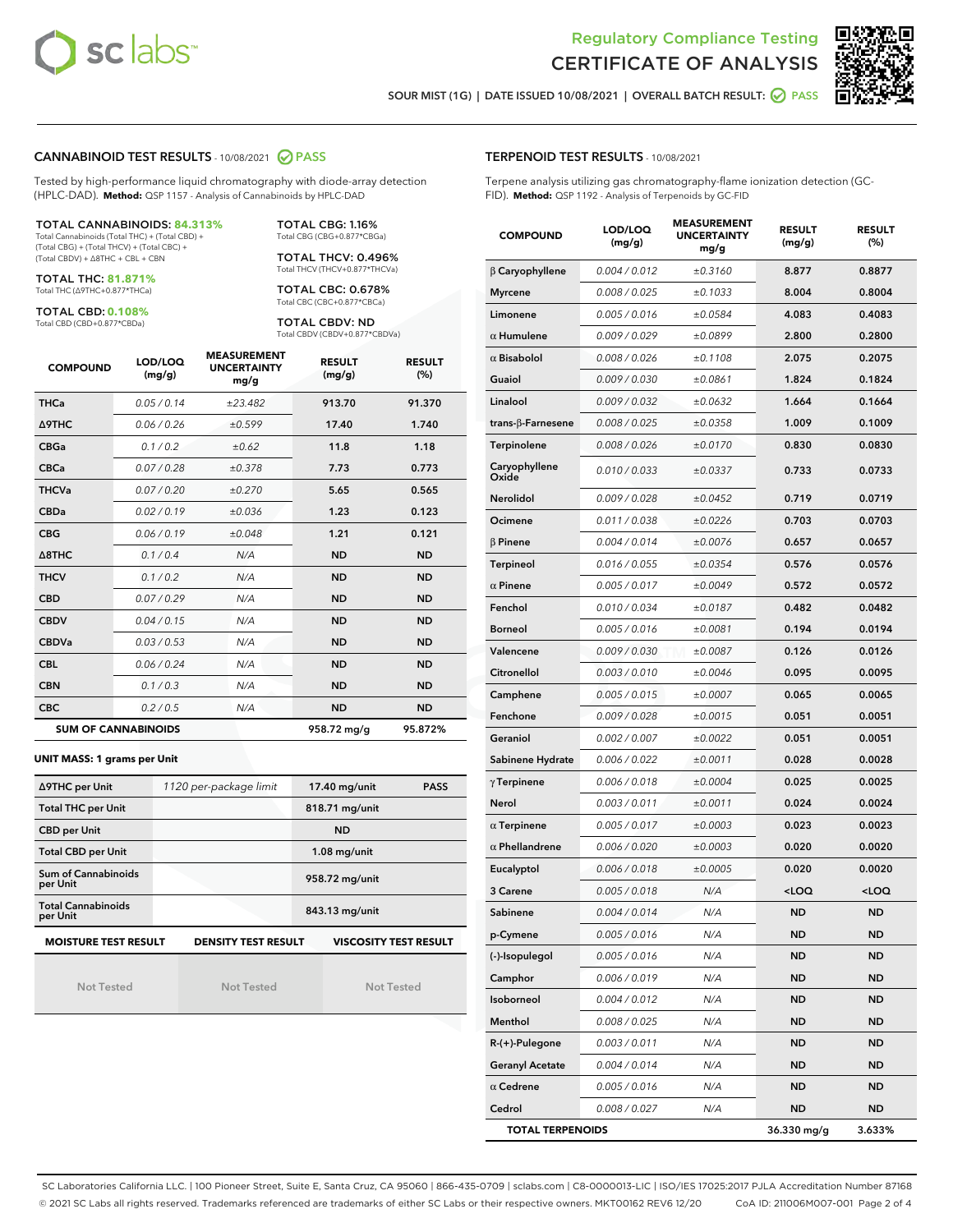



SOUR MIST (1G) | DATE ISSUED 10/08/2021 | OVERALL BATCH RESULT: 0 PASS

#### CANNABINOID TEST RESULTS - 10/08/2021 2 PASS

Tested by high-performance liquid chromatography with diode-array detection (HPLC-DAD). **Method:** QSP 1157 - Analysis of Cannabinoids by HPLC-DAD

#### TOTAL CANNABINOIDS: **84.313%**

Total Cannabinoids (Total THC) + (Total CBD) + (Total CBG) + (Total THCV) + (Total CBC) + (Total CBDV) + ∆8THC + CBL + CBN

TOTAL THC: **81.871%** Total THC (∆9THC+0.877\*THCa)

TOTAL CBD: **0.108%**

Total CBD (CBD+0.877\*CBDa)

TOTAL CBG: 1.16% Total CBG (CBG+0.877\*CBGa)

TOTAL THCV: 0.496% Total THCV (THCV+0.877\*THCVa)

TOTAL CBC: 0.678% Total CBC (CBC+0.877\*CBCa)

TOTAL CBDV: ND Total CBDV (CBDV+0.877\*CBDVa)

| <b>COMPOUND</b> | LOD/LOQ<br>(mg/g)          | <b>MEASUREMENT</b><br><b>UNCERTAINTY</b><br>mg/g | <b>RESULT</b><br>(mg/g) | <b>RESULT</b><br>(%) |
|-----------------|----------------------------|--------------------------------------------------|-------------------------|----------------------|
| <b>THCa</b>     | 0.05/0.14                  | ±23.482                                          | 913.70                  | 91.370               |
| <b>A9THC</b>    | 0.06 / 0.26                | ±0.599                                           | 17.40                   | 1.740                |
| <b>CBGa</b>     | 0.1/0.2                    | ±0.62                                            | 11.8                    | 1.18                 |
| <b>CBCa</b>     | 0.07 / 0.28                | ±0.378                                           | 7.73                    | 0.773                |
| <b>THCVa</b>    | 0.07/0.20                  | ±0.270                                           | 5.65                    | 0.565                |
| <b>CBDa</b>     | 0.02/0.19                  | ±0.036                                           | 1.23                    | 0.123                |
| <b>CBG</b>      | 0.06/0.19                  | ±0.048                                           | 1.21                    | 0.121                |
| A8THC           | 0.1/0.4                    | N/A                                              | <b>ND</b>               | <b>ND</b>            |
| <b>THCV</b>     | 0.1/0.2                    | N/A                                              | <b>ND</b>               | <b>ND</b>            |
| <b>CBD</b>      | 0.07/0.29                  | N/A                                              | <b>ND</b>               | <b>ND</b>            |
| <b>CBDV</b>     | 0.04 / 0.15                | N/A                                              | <b>ND</b>               | <b>ND</b>            |
| <b>CBDVa</b>    | 0.03/0.53                  | N/A                                              | <b>ND</b>               | <b>ND</b>            |
| <b>CBL</b>      | 0.06 / 0.24                | N/A                                              | <b>ND</b>               | <b>ND</b>            |
| <b>CBN</b>      | 0.1/0.3                    | N/A                                              | <b>ND</b>               | <b>ND</b>            |
| <b>CBC</b>      | 0.2 / 0.5                  | N/A                                              | <b>ND</b>               | <b>ND</b>            |
|                 | <b>SUM OF CANNABINOIDS</b> |                                                  | 958.72 mg/g             | 95.872%              |

#### **UNIT MASS: 1 grams per Unit**

| ∆9THC per Unit                                                                            | 1120 per-package limit | 17.40 mg/unit<br><b>PASS</b> |  |  |  |
|-------------------------------------------------------------------------------------------|------------------------|------------------------------|--|--|--|
| <b>Total THC per Unit</b>                                                                 |                        | 818.71 mg/unit               |  |  |  |
| <b>CBD per Unit</b>                                                                       |                        | <b>ND</b>                    |  |  |  |
| <b>Total CBD per Unit</b>                                                                 |                        | $1.08$ mg/unit               |  |  |  |
| Sum of Cannabinoids<br>per Unit                                                           |                        | 958.72 mg/unit               |  |  |  |
| <b>Total Cannabinoids</b><br>per Unit                                                     |                        | 843.13 mg/unit               |  |  |  |
| <b>MOISTURE TEST RESULT</b><br><b>VISCOSITY TEST RESULT</b><br><b>DENSITY TEST RESULT</b> |                        |                              |  |  |  |

Not Tested

Not Tested

Not Tested

### TERPENOID TEST RESULTS - 10/08/2021

Terpene analysis utilizing gas chromatography-flame ionization detection (GC-FID). **Method:** QSP 1192 - Analysis of Terpenoids by GC-FID

| <b>COMPOUND</b>          | LOD/LOQ<br>(mg/g) | <b>MEASUREMENT</b><br><b>UNCERTAINTY</b><br>mg/g | <b>RESULT</b><br>(mg/g)                         | <b>RESULT</b><br>(%) |
|--------------------------|-------------------|--------------------------------------------------|-------------------------------------------------|----------------------|
| $\beta$ Caryophyllene    | 0.004 / 0.012     | ±0.3160                                          | 8.877                                           | 0.8877               |
| <b>Myrcene</b>           | 0.008 / 0.025     | ±0.1033                                          | 8.004                                           | 0.8004               |
| Limonene                 | 0.005 / 0.016     | ±0.0584                                          | 4.083                                           | 0.4083               |
| $\alpha$ Humulene        | 0.009 / 0.029     | ±0.0899                                          | 2.800                                           | 0.2800               |
| $\alpha$ Bisabolol       | 0.008 / 0.026     | ±0.1108                                          | 2.075                                           | 0.2075               |
| Guaiol                   | 0.009 / 0.030     | ±0.0861                                          | 1.824                                           | 0.1824               |
| Linalool                 | 0.009 / 0.032     | ±0.0632                                          | 1.664                                           | 0.1664               |
| $trans-\beta$ -Farnesene | 0.008 / 0.025     | ±0.0358                                          | 1.009                                           | 0.1009               |
| Terpinolene              | 0.008 / 0.026     | ±0.0170                                          | 0.830                                           | 0.0830               |
| Caryophyllene<br>Oxide   | 0.010 / 0.033     | ±0.0337                                          | 0.733                                           | 0.0733               |
| Nerolidol                | 0.009 / 0.028     | ±0.0452                                          | 0.719                                           | 0.0719               |
| Ocimene                  | 0.011 / 0.038     | ±0.0226                                          | 0.703                                           | 0.0703               |
| $\beta$ Pinene           | 0.004 / 0.014     | ±0.0076                                          | 0.657                                           | 0.0657               |
| <b>Terpineol</b>         | 0.016 / 0.055     | ±0.0354                                          | 0.576                                           | 0.0576               |
| $\alpha$ Pinene          | 0.005 / 0.017     | ±0.0049                                          | 0.572                                           | 0.0572               |
| Fenchol                  | 0.010 / 0.034     | ±0.0187                                          | 0.482                                           | 0.0482               |
| <b>Borneol</b>           | 0.005 / 0.016     | ±0.0081                                          | 0.194                                           | 0.0194               |
| Valencene                | 0.009 / 0.030     | ±0.0087                                          | 0.126                                           | 0.0126               |
| Citronellol              | 0.003 / 0.010     | ±0.0046                                          | 0.095                                           | 0.0095               |
| Camphene                 | 0.005 / 0.015     | ±0.0007                                          | 0.065                                           | 0.0065               |
| Fenchone                 | 0.009 / 0.028     | ±0.0015                                          | 0.051                                           | 0.0051               |
| Geraniol                 | 0.002 / 0.007     | ±0.0022                                          | 0.051                                           | 0.0051               |
| Sabinene Hydrate         | 0.006 / 0.022     | ±0.0011                                          | 0.028                                           | 0.0028               |
| $\gamma$ Terpinene       | 0.006 / 0.018     | ±0.0004                                          | 0.025                                           | 0.0025               |
| Nerol                    | 0.003 / 0.011     | ±0.0011                                          | 0.024                                           | 0.0024               |
| $\alpha$ Terpinene       | 0.005 / 0.017     | ±0.0003                                          | 0.023                                           | 0.0023               |
| $\alpha$ Phellandrene    | 0.006 / 0.020     | ±0.0003                                          | 0.020                                           | 0.0020               |
| Eucalyptol               | 0.006 / 0.018     | ±0.0005                                          | 0.020                                           | 0.0020               |
| 3 Carene                 | 0.005 / 0.018     | N/A                                              | <loq< th=""><th><loq< th=""></loq<></th></loq<> | <loq< th=""></loq<>  |
| Sabinene                 | 0.004 / 0.014     | N/A                                              | <b>ND</b>                                       | <b>ND</b>            |
| p-Cymene                 | 0.005 / 0.016     | N/A                                              | ND                                              | ND                   |
| (-)-Isopulegol           | 0.005 / 0.016     | N/A                                              | ND                                              | ND                   |
| Camphor                  | 0.006 / 0.019     | N/A                                              | <b>ND</b>                                       | ND                   |
| Isoborneol               | 0.004 / 0.012     | N/A                                              | <b>ND</b>                                       | <b>ND</b>            |
| Menthol                  | 0.008 / 0.025     | N/A                                              | ND                                              | ND                   |
| R-(+)-Pulegone           | 0.003 / 0.011     | N/A                                              | ND                                              | ND                   |
| <b>Geranyl Acetate</b>   | 0.004 / 0.014     | N/A                                              | <b>ND</b>                                       | ND                   |
| $\alpha$ Cedrene         | 0.005 / 0.016     | N/A                                              | ND                                              | ND                   |
| Cedrol                   | 0.008 / 0.027     | N/A                                              | <b>ND</b>                                       | ND                   |
| <b>TOTAL TERPENOIDS</b>  |                   |                                                  | 36.330 mg/g                                     | 3.633%               |

SC Laboratories California LLC. | 100 Pioneer Street, Suite E, Santa Cruz, CA 95060 | 866-435-0709 | sclabs.com | C8-0000013-LIC | ISO/IES 17025:2017 PJLA Accreditation Number 87168 © 2021 SC Labs all rights reserved. Trademarks referenced are trademarks of either SC Labs or their respective owners. MKT00162 REV6 12/20 CoA ID: 211006M007-001 Page 2 of 4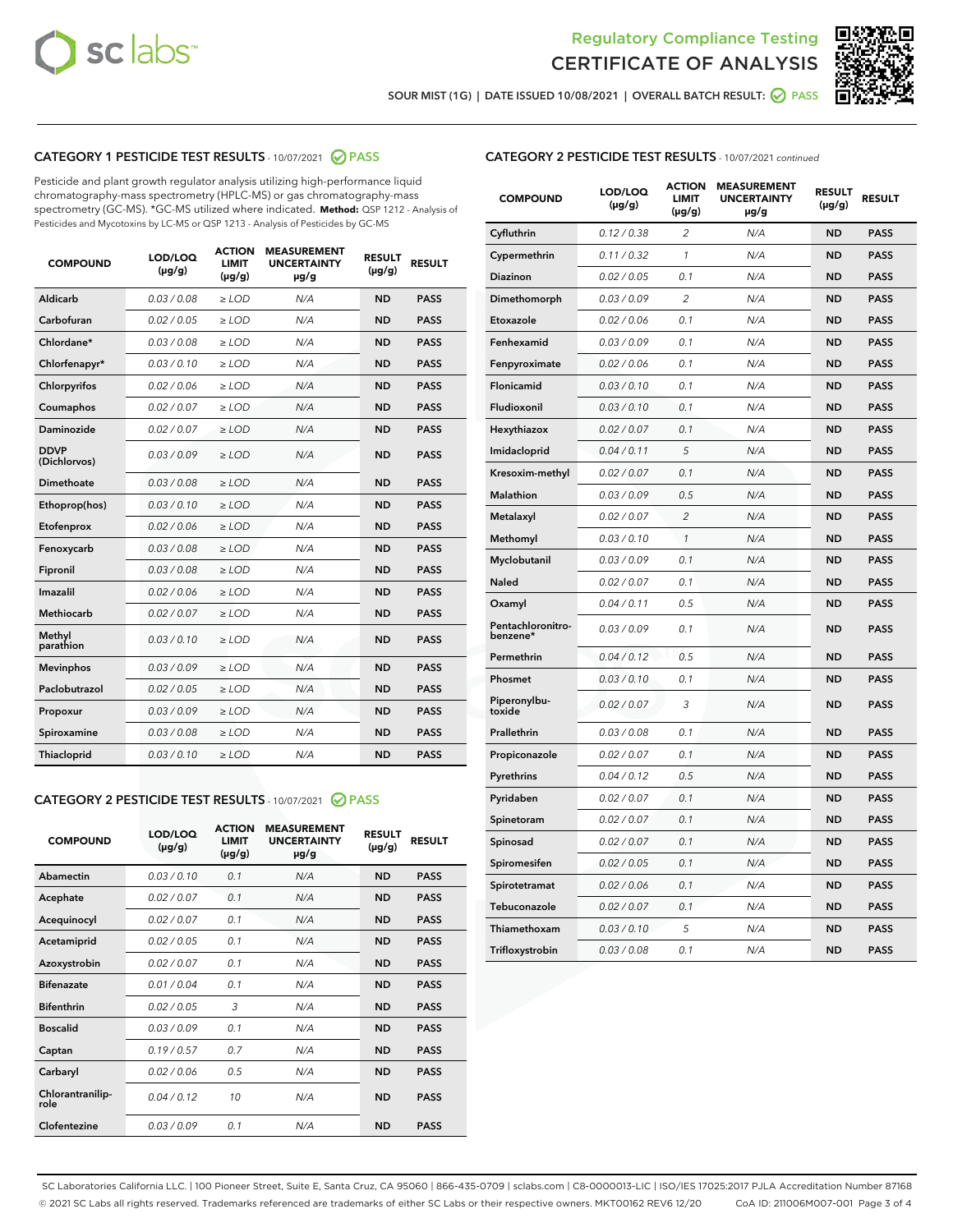



SOUR MIST (1G) | DATE ISSUED 10/08/2021 | OVERALL BATCH RESULT: 0 PASS

# CATEGORY 1 PESTICIDE TEST RESULTS - 10/07/2021 2 PASS

Pesticide and plant growth regulator analysis utilizing high-performance liquid chromatography-mass spectrometry (HPLC-MS) or gas chromatography-mass spectrometry (GC-MS). \*GC-MS utilized where indicated. **Method:** QSP 1212 - Analysis of Pesticides and Mycotoxins by LC-MS or QSP 1213 - Analysis of Pesticides by GC-MS

| 0.03 / 0.08<br><b>ND</b><br>Aldicarb<br>$\ge$ LOD<br><b>PASS</b><br>N/A<br>Carbofuran<br>0.02 / 0.05<br>N/A<br><b>ND</b><br><b>PASS</b><br>$\ge$ LOD<br>Chlordane*<br>0.03 / 0.08<br>N/A<br><b>ND</b><br><b>PASS</b><br>$\ge$ LOD<br>Chlorfenapyr*<br>0.03/0.10<br>N/A<br><b>ND</b><br><b>PASS</b><br>$\ge$ LOD<br>N/A<br><b>ND</b><br><b>PASS</b><br>Chlorpyrifos<br>0.02 / 0.06<br>$\ge$ LOD<br>0.02 / 0.07<br>N/A<br><b>ND</b><br><b>PASS</b><br>Coumaphos<br>$\ge$ LOD<br>Daminozide<br>0.02 / 0.07<br>$\ge$ LOD<br>N/A<br><b>ND</b><br><b>PASS</b><br><b>DDVP</b><br>0.03/0.09<br>$\ge$ LOD<br>N/A<br><b>ND</b><br><b>PASS</b><br>(Dichlorvos)<br><b>Dimethoate</b><br>0.03 / 0.08<br><b>PASS</b><br>$\ge$ LOD<br>N/A<br><b>ND</b><br>0.03/0.10<br>N/A<br><b>ND</b><br><b>PASS</b><br>Ethoprop(hos)<br>$\ge$ LOD<br>0.02/0.06<br>N/A<br><b>ND</b><br><b>PASS</b><br>Etofenprox<br>$>$ LOD<br>0.03 / 0.08<br><b>ND</b><br><b>PASS</b><br>Fenoxycarb<br>$\ge$ LOD<br>N/A<br>0.03/0.08<br>$\ge$ LOD<br>N/A<br><b>ND</b><br><b>PASS</b><br>Fipronil<br>Imazalil<br>0.02 / 0.06<br>N/A<br><b>ND</b><br>$>$ LOD<br><b>PASS</b><br><b>Methiocarb</b><br>0.02 / 0.07<br>$\ge$ LOD<br>N/A<br><b>ND</b><br><b>PASS</b><br>Methyl<br>0.03/0.10<br>N/A<br><b>ND</b><br>$\ge$ LOD<br><b>PASS</b><br>parathion<br><b>Mevinphos</b><br>0.03/0.09<br>$>$ LOD<br>N/A<br><b>ND</b><br><b>PASS</b><br>Paclobutrazol<br>0.02 / 0.05<br>N/A<br><b>ND</b><br><b>PASS</b><br>$\ge$ LOD<br>0.03/0.09<br>$\ge$ LOD<br>N/A<br><b>ND</b><br><b>PASS</b><br>Propoxur<br>0.03/0.08<br>$\ge$ LOD<br>N/A<br><b>ND</b><br><b>PASS</b><br>Spiroxamine<br>0.03/0.10<br><b>Thiacloprid</b><br>$\ge$ LOD<br>N/A<br><b>ND</b><br><b>PASS</b> | <b>COMPOUND</b> | LOD/LOQ<br>$(\mu g/g)$ | <b>ACTION</b><br><b>LIMIT</b><br>$(\mu g/g)$ | <b>MEASUREMENT</b><br><b>UNCERTAINTY</b><br>$\mu$ g/g | <b>RESULT</b><br>$(\mu g/g)$ | <b>RESULT</b> |
|--------------------------------------------------------------------------------------------------------------------------------------------------------------------------------------------------------------------------------------------------------------------------------------------------------------------------------------------------------------------------------------------------------------------------------------------------------------------------------------------------------------------------------------------------------------------------------------------------------------------------------------------------------------------------------------------------------------------------------------------------------------------------------------------------------------------------------------------------------------------------------------------------------------------------------------------------------------------------------------------------------------------------------------------------------------------------------------------------------------------------------------------------------------------------------------------------------------------------------------------------------------------------------------------------------------------------------------------------------------------------------------------------------------------------------------------------------------------------------------------------------------------------------------------------------------------------------------------------------------------------------------------------------------------------------------------------------------|-----------------|------------------------|----------------------------------------------|-------------------------------------------------------|------------------------------|---------------|
|                                                                                                                                                                                                                                                                                                                                                                                                                                                                                                                                                                                                                                                                                                                                                                                                                                                                                                                                                                                                                                                                                                                                                                                                                                                                                                                                                                                                                                                                                                                                                                                                                                                                                                              |                 |                        |                                              |                                                       |                              |               |
|                                                                                                                                                                                                                                                                                                                                                                                                                                                                                                                                                                                                                                                                                                                                                                                                                                                                                                                                                                                                                                                                                                                                                                                                                                                                                                                                                                                                                                                                                                                                                                                                                                                                                                              |                 |                        |                                              |                                                       |                              |               |
|                                                                                                                                                                                                                                                                                                                                                                                                                                                                                                                                                                                                                                                                                                                                                                                                                                                                                                                                                                                                                                                                                                                                                                                                                                                                                                                                                                                                                                                                                                                                                                                                                                                                                                              |                 |                        |                                              |                                                       |                              |               |
|                                                                                                                                                                                                                                                                                                                                                                                                                                                                                                                                                                                                                                                                                                                                                                                                                                                                                                                                                                                                                                                                                                                                                                                                                                                                                                                                                                                                                                                                                                                                                                                                                                                                                                              |                 |                        |                                              |                                                       |                              |               |
|                                                                                                                                                                                                                                                                                                                                                                                                                                                                                                                                                                                                                                                                                                                                                                                                                                                                                                                                                                                                                                                                                                                                                                                                                                                                                                                                                                                                                                                                                                                                                                                                                                                                                                              |                 |                        |                                              |                                                       |                              |               |
|                                                                                                                                                                                                                                                                                                                                                                                                                                                                                                                                                                                                                                                                                                                                                                                                                                                                                                                                                                                                                                                                                                                                                                                                                                                                                                                                                                                                                                                                                                                                                                                                                                                                                                              |                 |                        |                                              |                                                       |                              |               |
|                                                                                                                                                                                                                                                                                                                                                                                                                                                                                                                                                                                                                                                                                                                                                                                                                                                                                                                                                                                                                                                                                                                                                                                                                                                                                                                                                                                                                                                                                                                                                                                                                                                                                                              |                 |                        |                                              |                                                       |                              |               |
|                                                                                                                                                                                                                                                                                                                                                                                                                                                                                                                                                                                                                                                                                                                                                                                                                                                                                                                                                                                                                                                                                                                                                                                                                                                                                                                                                                                                                                                                                                                                                                                                                                                                                                              |                 |                        |                                              |                                                       |                              |               |
|                                                                                                                                                                                                                                                                                                                                                                                                                                                                                                                                                                                                                                                                                                                                                                                                                                                                                                                                                                                                                                                                                                                                                                                                                                                                                                                                                                                                                                                                                                                                                                                                                                                                                                              |                 |                        |                                              |                                                       |                              |               |
|                                                                                                                                                                                                                                                                                                                                                                                                                                                                                                                                                                                                                                                                                                                                                                                                                                                                                                                                                                                                                                                                                                                                                                                                                                                                                                                                                                                                                                                                                                                                                                                                                                                                                                              |                 |                        |                                              |                                                       |                              |               |
|                                                                                                                                                                                                                                                                                                                                                                                                                                                                                                                                                                                                                                                                                                                                                                                                                                                                                                                                                                                                                                                                                                                                                                                                                                                                                                                                                                                                                                                                                                                                                                                                                                                                                                              |                 |                        |                                              |                                                       |                              |               |
|                                                                                                                                                                                                                                                                                                                                                                                                                                                                                                                                                                                                                                                                                                                                                                                                                                                                                                                                                                                                                                                                                                                                                                                                                                                                                                                                                                                                                                                                                                                                                                                                                                                                                                              |                 |                        |                                              |                                                       |                              |               |
|                                                                                                                                                                                                                                                                                                                                                                                                                                                                                                                                                                                                                                                                                                                                                                                                                                                                                                                                                                                                                                                                                                                                                                                                                                                                                                                                                                                                                                                                                                                                                                                                                                                                                                              |                 |                        |                                              |                                                       |                              |               |
|                                                                                                                                                                                                                                                                                                                                                                                                                                                                                                                                                                                                                                                                                                                                                                                                                                                                                                                                                                                                                                                                                                                                                                                                                                                                                                                                                                                                                                                                                                                                                                                                                                                                                                              |                 |                        |                                              |                                                       |                              |               |
|                                                                                                                                                                                                                                                                                                                                                                                                                                                                                                                                                                                                                                                                                                                                                                                                                                                                                                                                                                                                                                                                                                                                                                                                                                                                                                                                                                                                                                                                                                                                                                                                                                                                                                              |                 |                        |                                              |                                                       |                              |               |
|                                                                                                                                                                                                                                                                                                                                                                                                                                                                                                                                                                                                                                                                                                                                                                                                                                                                                                                                                                                                                                                                                                                                                                                                                                                                                                                                                                                                                                                                                                                                                                                                                                                                                                              |                 |                        |                                              |                                                       |                              |               |
|                                                                                                                                                                                                                                                                                                                                                                                                                                                                                                                                                                                                                                                                                                                                                                                                                                                                                                                                                                                                                                                                                                                                                                                                                                                                                                                                                                                                                                                                                                                                                                                                                                                                                                              |                 |                        |                                              |                                                       |                              |               |
|                                                                                                                                                                                                                                                                                                                                                                                                                                                                                                                                                                                                                                                                                                                                                                                                                                                                                                                                                                                                                                                                                                                                                                                                                                                                                                                                                                                                                                                                                                                                                                                                                                                                                                              |                 |                        |                                              |                                                       |                              |               |
|                                                                                                                                                                                                                                                                                                                                                                                                                                                                                                                                                                                                                                                                                                                                                                                                                                                                                                                                                                                                                                                                                                                                                                                                                                                                                                                                                                                                                                                                                                                                                                                                                                                                                                              |                 |                        |                                              |                                                       |                              |               |
|                                                                                                                                                                                                                                                                                                                                                                                                                                                                                                                                                                                                                                                                                                                                                                                                                                                                                                                                                                                                                                                                                                                                                                                                                                                                                                                                                                                                                                                                                                                                                                                                                                                                                                              |                 |                        |                                              |                                                       |                              |               |
|                                                                                                                                                                                                                                                                                                                                                                                                                                                                                                                                                                                                                                                                                                                                                                                                                                                                                                                                                                                                                                                                                                                                                                                                                                                                                                                                                                                                                                                                                                                                                                                                                                                                                                              |                 |                        |                                              |                                                       |                              |               |

# CATEGORY 2 PESTICIDE TEST RESULTS - 10/07/2021 @ PASS

| <b>COMPOUND</b>          | LOD/LOO<br>$(\mu g/g)$ | <b>ACTION</b><br>LIMIT<br>$(\mu g/g)$ | <b>MEASUREMENT</b><br><b>UNCERTAINTY</b><br>$\mu$ g/g | <b>RESULT</b><br>$(\mu g/g)$ | <b>RESULT</b> |  |
|--------------------------|------------------------|---------------------------------------|-------------------------------------------------------|------------------------------|---------------|--|
| Abamectin                | 0.03/0.10              | 0.1                                   | N/A                                                   | <b>ND</b>                    | <b>PASS</b>   |  |
| Acephate                 | 0.02/0.07              | 0.1                                   | N/A                                                   | <b>ND</b>                    | <b>PASS</b>   |  |
| Acequinocyl              | 0.02/0.07              | 0.1                                   | N/A                                                   | <b>ND</b>                    | <b>PASS</b>   |  |
| Acetamiprid              | 0.02/0.05              | 0.1                                   | N/A                                                   | <b>ND</b>                    | <b>PASS</b>   |  |
| Azoxystrobin             | 0.02/0.07              | 0.1                                   | N/A                                                   | <b>ND</b>                    | <b>PASS</b>   |  |
| <b>Bifenazate</b>        | 0.01/0.04              | 0.1                                   | N/A                                                   | <b>ND</b>                    | <b>PASS</b>   |  |
| <b>Bifenthrin</b>        | 0.02/0.05              | 3                                     | N/A                                                   | <b>ND</b>                    | <b>PASS</b>   |  |
| <b>Boscalid</b>          | 0.03/0.09              | 0.1                                   | N/A                                                   | <b>ND</b>                    | <b>PASS</b>   |  |
| Captan                   | 0.19/0.57              | 0.7                                   | N/A                                                   | <b>ND</b>                    | <b>PASS</b>   |  |
| Carbaryl                 | 0.02/0.06              | 0.5                                   | N/A                                                   | <b>ND</b>                    | <b>PASS</b>   |  |
| Chlorantranilip-<br>role | 0.04/0.12              | 10                                    | N/A                                                   | <b>ND</b>                    | <b>PASS</b>   |  |
| Clofentezine             | 0.03/0.09              | 0.1                                   | N/A                                                   | <b>ND</b>                    | <b>PASS</b>   |  |

# CATEGORY 2 PESTICIDE TEST RESULTS - 10/07/2021 continued

| <b>COMPOUND</b>               | LOD/LOQ<br>(µg/g) | <b>ACTION</b><br><b>LIMIT</b><br>(µg/g) | <b>MEASUREMENT</b><br><b>UNCERTAINTY</b><br>µg/g | <b>RESULT</b><br>(µg/g) | <b>RESULT</b> |
|-------------------------------|-------------------|-----------------------------------------|--------------------------------------------------|-------------------------|---------------|
| Cyfluthrin                    | 0.12 / 0.38       | $\overline{c}$                          | N/A                                              | <b>ND</b>               | <b>PASS</b>   |
| Cypermethrin                  | 0.11/0.32         | 1                                       | N/A                                              | <b>ND</b>               | <b>PASS</b>   |
| <b>Diazinon</b>               | 0.02 / 0.05       | 0.1                                     | N/A                                              | <b>ND</b>               | <b>PASS</b>   |
| Dimethomorph                  | 0.03 / 0.09       | 2                                       | N/A                                              | <b>ND</b>               | <b>PASS</b>   |
| Etoxazole                     | 0.02 / 0.06       | 0.1                                     | N/A                                              | <b>ND</b>               | <b>PASS</b>   |
| Fenhexamid                    | 0.03 / 0.09       | 0.1                                     | N/A                                              | <b>ND</b>               | <b>PASS</b>   |
| Fenpyroximate                 | 0.02 / 0.06       | 0.1                                     | N/A                                              | <b>ND</b>               | <b>PASS</b>   |
| Flonicamid                    | 0.03/0.10         | 0.1                                     | N/A                                              | <b>ND</b>               | <b>PASS</b>   |
| Fludioxonil                   | 0.03 / 0.10       | 0.1                                     | N/A                                              | <b>ND</b>               | <b>PASS</b>   |
| Hexythiazox                   | 0.02 / 0.07       | 0.1                                     | N/A                                              | <b>ND</b>               | <b>PASS</b>   |
| Imidacloprid                  | 0.04 / 0.11       | 5                                       | N/A                                              | <b>ND</b>               | <b>PASS</b>   |
| Kresoxim-methyl               | 0.02 / 0.07       | 0.1                                     | N/A                                              | <b>ND</b>               | <b>PASS</b>   |
| <b>Malathion</b>              | 0.03 / 0.09       | 0.5                                     | N/A                                              | <b>ND</b>               | <b>PASS</b>   |
| Metalaxyl                     | 0.02 / 0.07       | $\overline{c}$                          | N/A                                              | <b>ND</b>               | <b>PASS</b>   |
| Methomyl                      | 0.03 / 0.10       | 1                                       | N/A                                              | <b>ND</b>               | <b>PASS</b>   |
| Myclobutanil                  | 0.03 / 0.09       | 0.1                                     | N/A                                              | <b>ND</b>               | <b>PASS</b>   |
| Naled                         | 0.02 / 0.07       | 0.1                                     | N/A                                              | <b>ND</b>               | <b>PASS</b>   |
| Oxamyl                        | 0.04 / 0.11       | 0.5                                     | N/A                                              | <b>ND</b>               | <b>PASS</b>   |
| Pentachloronitro-<br>benzene* | 0.03 / 0.09       | 0.1                                     | N/A                                              | <b>ND</b>               | <b>PASS</b>   |
| Permethrin                    | 0.04 / 0.12       | 0.5                                     | N/A                                              | <b>ND</b>               | <b>PASS</b>   |
| Phosmet                       | 0.03 / 0.10       | 0.1                                     | N/A                                              | <b>ND</b>               | <b>PASS</b>   |
| Piperonylbu-<br>toxide        | 0.02 / 0.07       | 3                                       | N/A                                              | <b>ND</b>               | <b>PASS</b>   |
| Prallethrin                   | 0.03 / 0.08       | 0.1                                     | N/A                                              | <b>ND</b>               | <b>PASS</b>   |
| Propiconazole                 | 0.02 / 0.07       | 0.1                                     | N/A                                              | <b>ND</b>               | <b>PASS</b>   |
| Pyrethrins                    | 0.04 / 0.12       | 0.5                                     | N/A                                              | ND                      | <b>PASS</b>   |
| Pyridaben                     | 0.02 / 0.07       | 0.1                                     | N/A                                              | <b>ND</b>               | <b>PASS</b>   |
| Spinetoram                    | 0.02 / 0.07       | 0.1                                     | N/A                                              | <b>ND</b>               | <b>PASS</b>   |
| Spinosad                      | 0.02 / 0.07       | 0.1                                     | N/A                                              | <b>ND</b>               | <b>PASS</b>   |
| Spiromesifen                  | 0.02 / 0.05       | 0.1                                     | N/A                                              | <b>ND</b>               | <b>PASS</b>   |
| Spirotetramat                 | 0.02 / 0.06       | 0.1                                     | N/A                                              | <b>ND</b>               | <b>PASS</b>   |
| Tebuconazole                  | 0.02 / 0.07       | 0.1                                     | N/A                                              | <b>ND</b>               | <b>PASS</b>   |
| Thiamethoxam                  | 0.03 / 0.10       | 5                                       | N/A                                              | <b>ND</b>               | <b>PASS</b>   |
| Trifloxystrobin               | 0.03 / 0.08       | 0.1                                     | N/A                                              | <b>ND</b>               | <b>PASS</b>   |

SC Laboratories California LLC. | 100 Pioneer Street, Suite E, Santa Cruz, CA 95060 | 866-435-0709 | sclabs.com | C8-0000013-LIC | ISO/IES 17025:2017 PJLA Accreditation Number 87168 © 2021 SC Labs all rights reserved. Trademarks referenced are trademarks of either SC Labs or their respective owners. MKT00162 REV6 12/20 CoA ID: 211006M007-001 Page 3 of 4